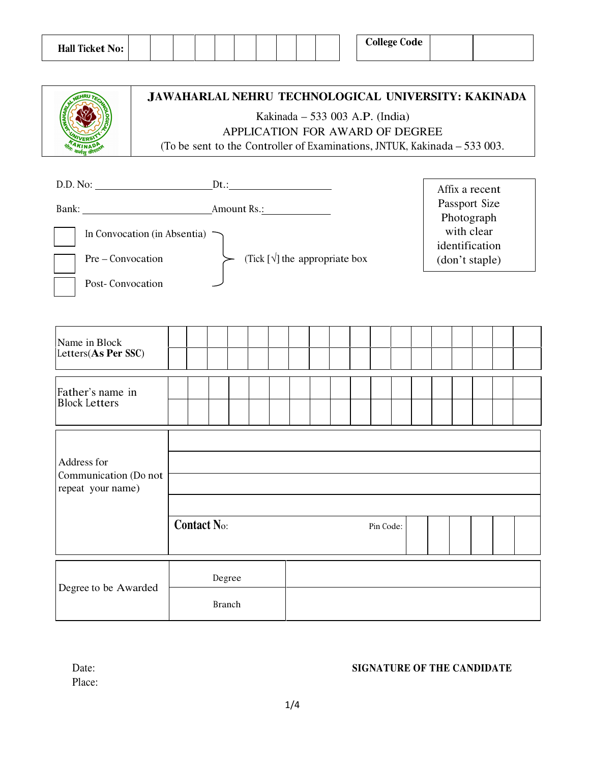| <b>Hall Ticket No:</b> | <b>College Code</b> |
|------------------------|---------------------|
|------------------------|---------------------|

| RU TECHA<br>UNI<br>VER           |
|----------------------------------|
| TAKIN<br><b>Short</b> af<br>Tele |

## **JAWAHARLAL NEHRU TECHNOLOGICAL UNIVERSITY: KAKINADA**

Kakinada – 533 003 A.P. (India)

APPLICATION FOR AWARD OF DEGREE

Г

(To be sent to the Controller of Examinations, JNTUK, Kakinada – 533 003.

| D.D. No:                                                              |               |                    |        |                                         |  |  |  |  |           |  |  | Affix a recent                                                                |  |  |
|-----------------------------------------------------------------------|---------------|--------------------|--------|-----------------------------------------|--|--|--|--|-----------|--|--|-------------------------------------------------------------------------------|--|--|
| In Convocation (in Absentia)<br>Pre – Convocation<br>Post-Convocation |               |                    |        | (Tick $[\sqrt{\ }]$ the appropriate box |  |  |  |  |           |  |  | Passport Size<br>Photograph<br>with clear<br>identification<br>(don't staple) |  |  |
|                                                                       |               |                    |        |                                         |  |  |  |  |           |  |  |                                                                               |  |  |
| Name in Block<br>Letters(As Per SSC)                                  |               |                    |        |                                         |  |  |  |  |           |  |  |                                                                               |  |  |
|                                                                       |               |                    |        |                                         |  |  |  |  |           |  |  |                                                                               |  |  |
| Father's name in<br><b>Block Letters</b>                              |               |                    |        |                                         |  |  |  |  |           |  |  |                                                                               |  |  |
|                                                                       |               |                    |        |                                         |  |  |  |  |           |  |  |                                                                               |  |  |
|                                                                       |               |                    |        |                                         |  |  |  |  |           |  |  |                                                                               |  |  |
| Address for<br>Communication (Do not<br>repeat your name)             |               |                    |        |                                         |  |  |  |  |           |  |  |                                                                               |  |  |
|                                                                       |               |                    |        |                                         |  |  |  |  |           |  |  |                                                                               |  |  |
|                                                                       |               |                    |        |                                         |  |  |  |  |           |  |  |                                                                               |  |  |
|                                                                       |               | <b>Contact No:</b> |        |                                         |  |  |  |  | Pin Code: |  |  |                                                                               |  |  |
|                                                                       |               |                    | Degree |                                         |  |  |  |  |           |  |  |                                                                               |  |  |
| Degree to be Awarded                                                  | <b>Branch</b> |                    |        |                                         |  |  |  |  |           |  |  |                                                                               |  |  |

Place:

#### Date: **SIGNATURE OF THE CANDIDATE**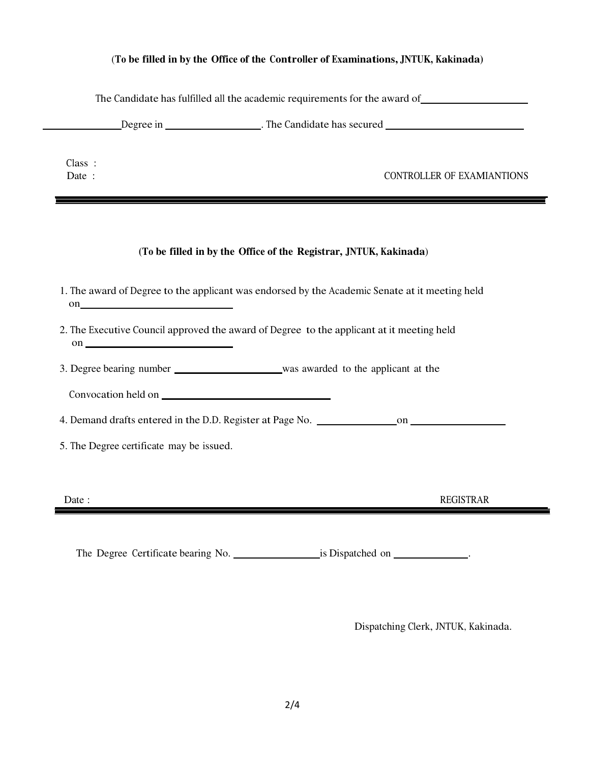#### (**To be filled in by the Office of the Controller of Examinations, JNTUK, Kakinada)**

| Class:<br>Date:                          | CONTROLLER OF EXAMIANTIONS                                                                     |
|------------------------------------------|------------------------------------------------------------------------------------------------|
|                                          |                                                                                                |
|                                          | (To be filled in by the Office of the Registrar, JNTUK, Kakinada)                              |
| $\mathbf{on}$                            | 1. The award of Degree to the applicant was endorsed by the Academic Senate at it meeting held |
|                                          |                                                                                                |
|                                          | 2. The Executive Council approved the award of Degree to the applicant at it meeting held      |
|                                          | 3. Degree bearing number was awarded to the applicant at the                                   |
|                                          |                                                                                                |
|                                          |                                                                                                |
| 5. The Degree certificate may be issued. |                                                                                                |
|                                          |                                                                                                |

Dispatching Clerk, JNTUK, Kakinada.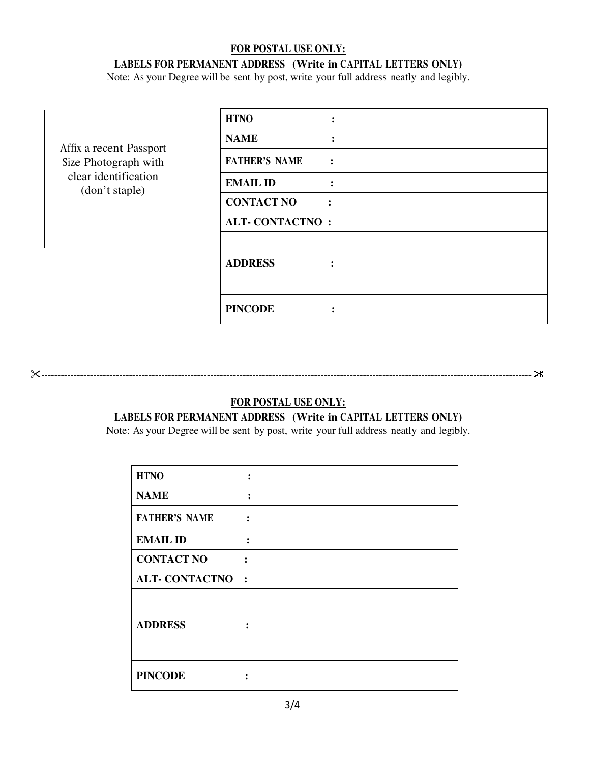#### **FOR POSTAL USE ONLY: LABELS FOR PERMANENT ADDRESS (Write in CAPITAL LETTERS ONLY)**

Note: As your Degree will be sent by post, write your full address neatly and legibly.

| Affix a recent Passport<br>Size Photograph with<br>clear identification<br>(don't staple) | <b>HTNO</b>                                  |
|-------------------------------------------------------------------------------------------|----------------------------------------------|
|                                                                                           | <b>NAME</b>                                  |
|                                                                                           | <b>FATHER'S NAME</b><br>$\ddot{\phantom{a}}$ |
|                                                                                           | <b>EMAIL ID</b><br>$\ddot{\cdot}$            |
|                                                                                           | <b>CONTACT NO</b>                            |
|                                                                                           | <b>ALT-CONTACTNO:</b>                        |
|                                                                                           | <b>ADDRESS</b><br>$\ddot{\cdot}$             |
|                                                                                           | <b>PINCODE</b>                               |

**FOR POSTAL USE ONLY:**

-------------------------------------------------------------------------------------------------------------------------------------------------------

### **LABELS FOR PERMANENT ADDRESS (Write in CAPITAL LETTERS ONLY)**

Note: As your Degree will be sent by post, write your full address neatly and legibly.

| <b>HTNO</b>           |                      |
|-----------------------|----------------------|
| <b>NAME</b>           | $\ddot{\cdot}$       |
| <b>FATHER'S NAME</b>  | $\ddot{\cdot}$       |
| <b>EMAIL ID</b>       |                      |
| <b>CONTACT NO</b>     | $\ddot{\cdot}$       |
| <b>ALT-CONTACTNO:</b> |                      |
| <b>ADDRESS</b>        | $\ddot{\phantom{a}}$ |
| <b>PINCODE</b>        |                      |